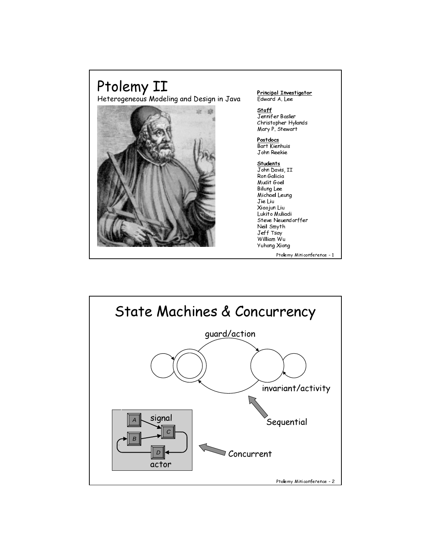

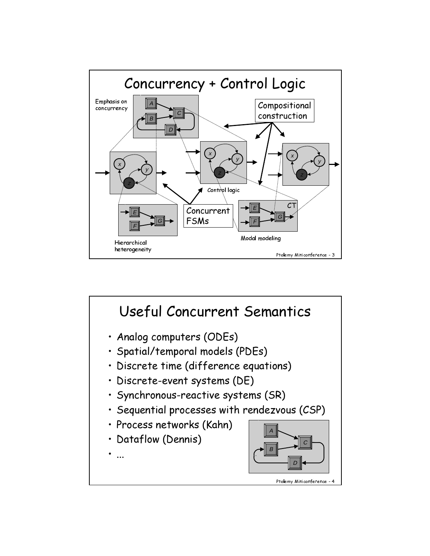

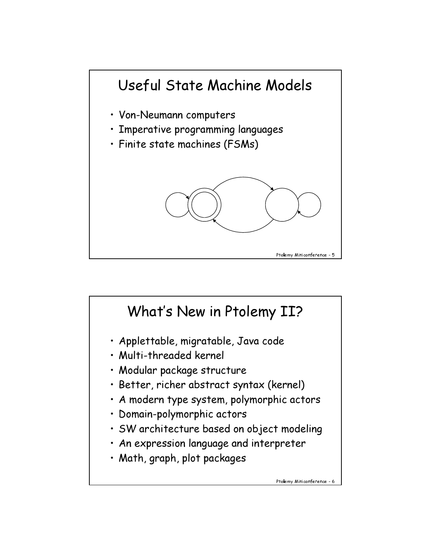

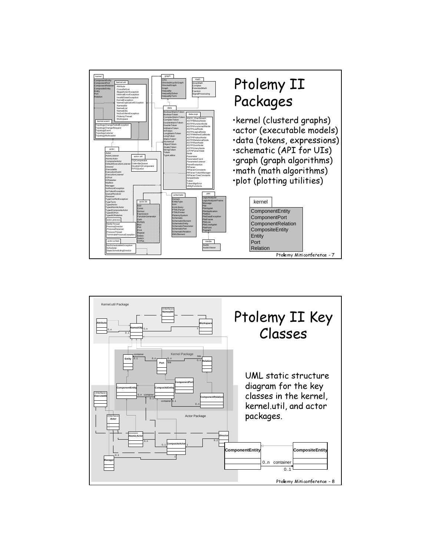

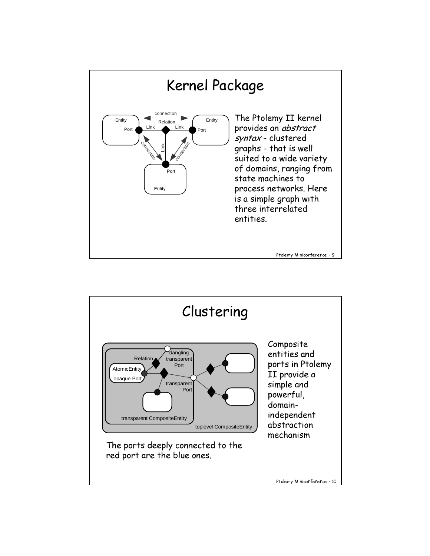

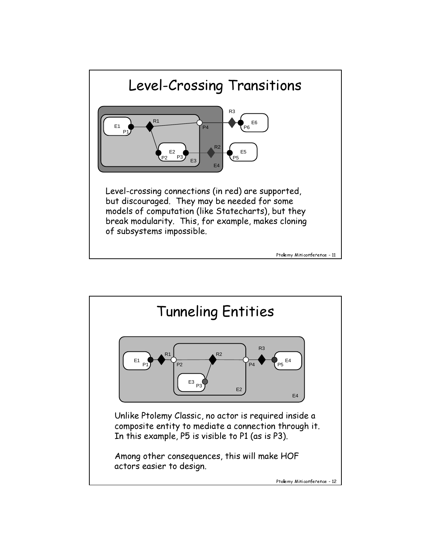

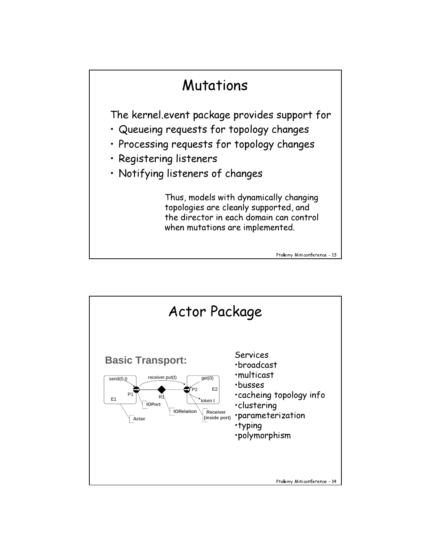## Ptolemy Miniconference - 13 Mutations The kernel.event package provides support for · Queueing requests for topology changes · Processing requests for topology changes · Registering listeners • Notifying listeners of changes Thus, models with dynamically changing topologies are cleanly supported, and the director in each domain can control when mutations are implemented.

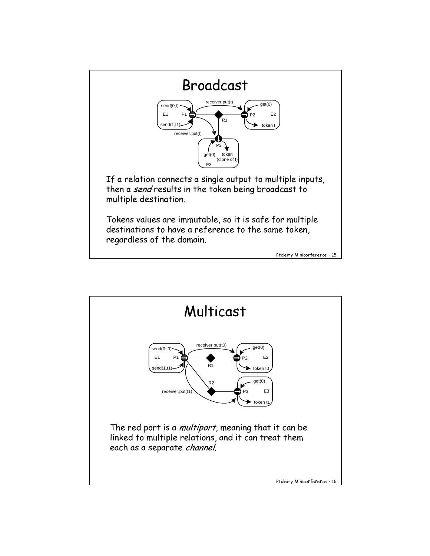

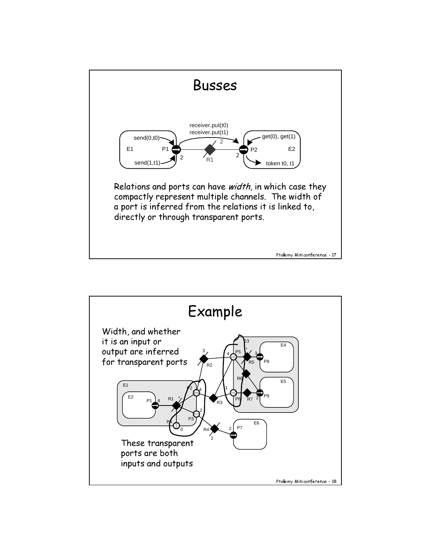

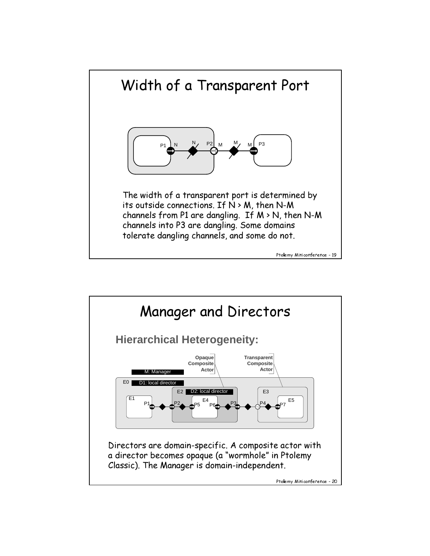

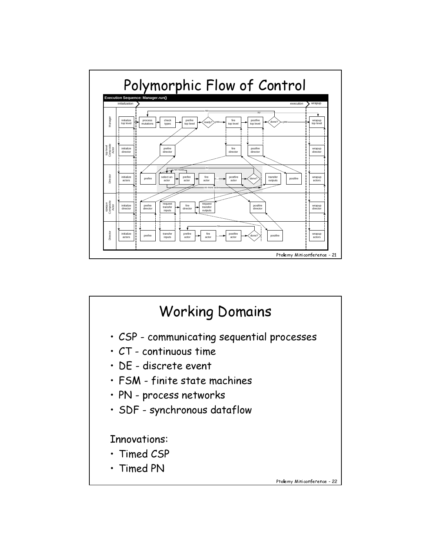

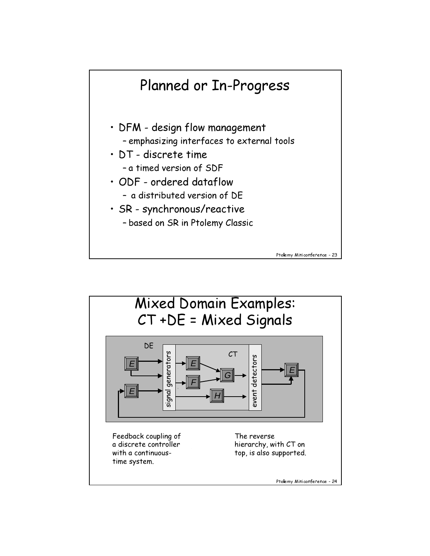

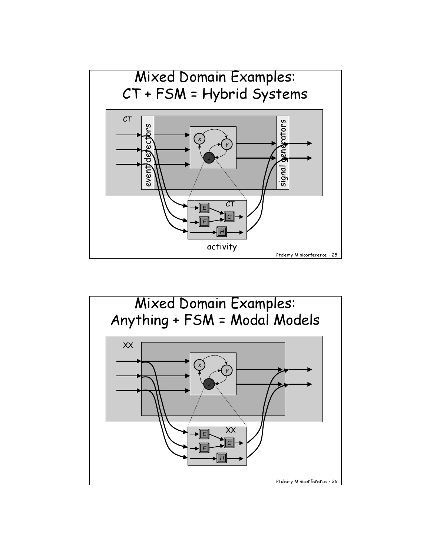

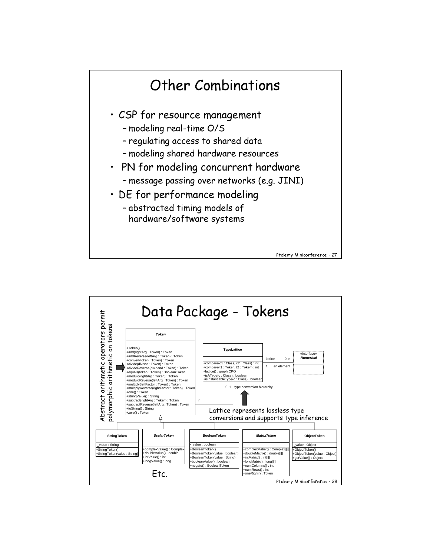

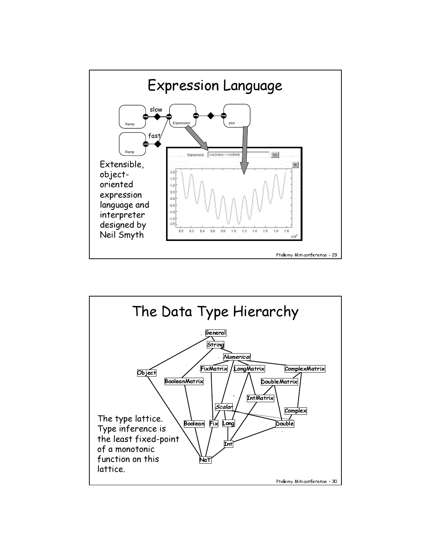